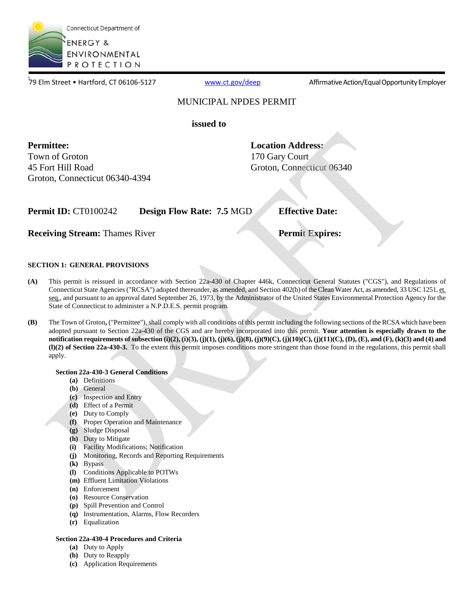

79 Elm Street • Hartford, CT 06106-5127

[www.ct.gov/deep](http://www.ct.gov/deep) **Affirmative Action/Equal Opportunity Employer** 

### MUNICIPAL NPDES PERMIT

### **issued to**

**Permittee:** Town of Groton 45 Fort Hill Road Groton, Connecticut 06340-4394 **Location Address:**  170 Gary Court Groton, Connecticut 06340

**Permit ID:** CT0100242 **Design Flow Rate: 7.5 MGD <b>Effective Date:** 

**Receiving Stream:** Thames River **Permit Expires: Permit Expires:** 

### **SECTION 1: GENERAL PROVISIONS**

- **(A)** This permit is reissued in accordance with Section 22a-430 of Chapter 446k, Connecticut General Statutes ("CGS"), and Regulations of Connecticut State Agencies ("RCSA") adopted thereunder, as amended, and Section 402(b) of the Clean Water Act, as amended, 33 USC 1251, et. seq., and pursuant to an approval dated September 26, 1973, by the Administrator of the United States Environmental Protection Agency for the State of Connecticut to administer a N.P.D.E.S. permit program.
- **(B)** The Town of Groton**,** ("Permittee"), shall comply with all conditions of this permit including the following sections of the RCSA which have been adopted pursuant to Section 22a-430 of the CGS and are hereby incorporated into this permit. **Your attention is especially drawn to the notification requirements of subsection (i)(2), (i)(3), (j)(1), (j)(6), (j)(8), (j)(9)(C), (j)(10)(C), (j)(11)(C), (D), (E), and (F), (k)(3) and (4) and (l)(2) of Section 22a-430-3.** To the extent this permit imposes conditions more stringent than those found in the regulations, this permit shall apply.

### **Section 22a-430-3 General Conditions**

- **(a)** Definitions
- **(b)** General
- **(c)** Inspection and Entry
- **(d)** Effect of a Permit
- **(e)** Duty to Comply
- **(f)** Proper Operation and Maintenance
- **(g)** Sludge Disposal
- **(h)** Duty to Mitigate
- **(i)** Facility Modifications; Notification
- **(j)** Monitoring, Records and Reporting Requirements
- **(k)** Bypass
- **(l)** Conditions Applicable to POTWs
- **(m)** Effluent Limitation Violations
- **(n)** Enforcement
- **(o)** Resource Conservation
- **(p)** Spill Prevention and Control
- **(q)** Instrumentation, Alarms, Flow Recorders
- **(r)** Equalization

### **Section 22a-430-4 Procedures and Criteria**

- **(a)** Duty to Apply
- **(b)** Duty to Reapply
- **(c)** Application Requirements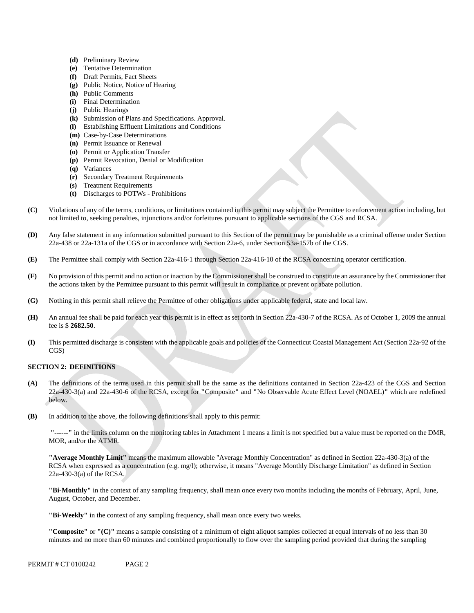- **(d)** Preliminary Review
- **(e)** Tentative Determination
- **(f)** Draft Permits, Fact Sheets
- **(g)** Public Notice, Notice of Hearing
- **(h)** Public Comments
- **(i)** Final Determination
- **(j)** Public Hearings
- **(k)** Submission of Plans and Specifications. Approval.
- **(l)** Establishing Effluent Limitations and Conditions
- **(m)** Case-by-Case Determinations
- **(n)** Permit Issuance or Renewal
- **(o)** Permit or Application Transfer
- **(p)** Permit Revocation, Denial or Modification
- **(q)** Variances
- **(r)** Secondary Treatment Requirements
- **(s)** Treatment Requirements
- **(t)** Discharges to POTWs Prohibitions
- **(C)** Violations of any of the terms, conditions, or limitations contained in this permit may subject the Permittee to enforcement action including, but not limited to, seeking penalties, injunctions and/or forfeitures pursuant to applicable sections of the CGS and RCSA.
- **(D)** Any false statement in any information submitted pursuant to this Section of the permit may be punishable as a criminal offense under Section 22a-438 or 22a-131a of the CGS or in accordance with Section 22a-6, under Section 53a-157b of the CGS.
- **(E)** The Permittee shall comply with Section 22a-416-1 through Section 22a-416-10 of the RCSA concerning operator certification.
- **(F)** No provision of this permit and no action or inaction by the Commissioner shall be construed to constitute an assurance by the Commissioner that the actions taken by the Permittee pursuant to this permit will result in compliance or prevent or abate pollution.
- **(G)** Nothing in this permit shall relieve the Permittee of other obligations under applicable federal, state and local law.
- **(H)** An annual fee shall be paid for each year this permit is in effect as set forth in Section 22a-430-7 of the RCSA. As of October 1, 2009 the annual fee is \$ **2682.50**.
- **(I)** This permitted discharge is consistent with the applicable goals and policies of the Connecticut Coastal Management Act (Section 22a-92 of the CGS)

### **SECTION 2: DEFINITIONS**

- **(A)** The definitions of the terms used in this permit shall be the same as the definitions contained in Section 22a-423 of the CGS and Section 22a-430-3(a) and 22a-430-6 of the RCSA, except for **"**Composite**"** and **"**No Observable Acute Effect Level (NOAEL)**"** which are redefined below.
- **(B)** In addition to the above, the following definitions shall apply to this permit:

**"------"** in the limits column on the monitoring tables in Attachment 1 means a limit is not specified but a value must be reported on the DMR, MOR, and/or the ATMR.

**"Average Monthly Limit"** means the maximum allowable "Average Monthly Concentration" as defined in Section 22a-430-3(a) of the RCSA when expressed as a concentration (e.g. mg/l); otherwise, it means "Average Monthly Discharge Limitation" as defined in Section 22a-430-3(a) of the RCSA.

**"Bi-Monthly"** in the context of any sampling frequency, shall mean once every two months including the months of February, April, June, August, October, and December.

**"Bi-Weekly"** in the context of any sampling frequency, shall mean once every two weeks.

**"Composite"** or **"(C)"** means a sample consisting of a minimum of eight aliquot samples collected at equal intervals of no less than 30 minutes and no more than 60 minutes and combined proportionally to flow over the sampling period provided that during the sampling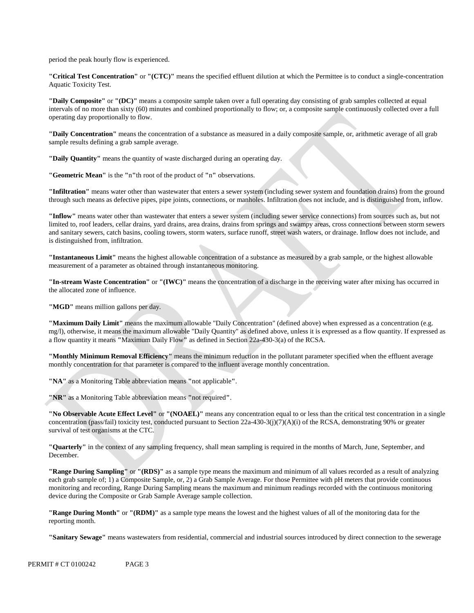period the peak hourly flow is experienced.

**"Critical Test Concentration"** or **"(CTC)"** means the specified effluent dilution at which the Permittee is to conduct a single-concentration Aquatic Toxicity Test.

**"Daily Composite"** or **"(DC)"** means a composite sample taken over a full operating day consisting of grab samples collected at equal intervals of no more than sixty (60) minutes and combined proportionally to flow; or, a composite sample continuously collected over a full operating day proportionally to flow.

**"Daily Concentration"** means the concentration of a substance as measured in a daily composite sample, or, arithmetic average of all grab sample results defining a grab sample average.

**"Daily Quantity"** means the quantity of waste discharged during an operating day.

**"Geometric Mean"** is the **"**n**"**th root of the product of **"**n**"** observations.

"Infiltration" means water other than wastewater that enters a sewer system (including sewer system and foundation drains) from the ground through such means as defective pipes, pipe joints, connections, or manholes. Infiltration does not include, and is distinguished from, inflo w.

**"Inflow"** means water other than wastewater that enters a sewer system (including sewer service connections) from sources such as, but no t limited to, roof leaders, cellar drains, yard drains, area drains, drains from springs and swampy areas, cross connections between storm sew ers and sanitary sewers, catch basins, cooling towers, storm waters, surface runoff, street wash waters, or drainage. Inflow does not include, an d is distinguished from, infiltration.

**"Instantaneous Limit"** means the highest allowable concentration of a substance as measured by a grab sample, or the highest allowable measurement of a parameter as obtained through instantaneous monitoring.

**"In-stream Waste Concentration"** or **"(IWC)"** means the concentration of a discharge in the receiving water after mixing has occurred in the allocated zone of influence.

**"MGD"** means million gallons per day.

**"Maximum Daily Limit"** means the maximum allowable "Daily Concentration" (defined above) when expressed as a concentration (e.g. mg/l), otherwise, it means the maximum allowable "Daily Quantity" as defined above, unless it is expressed as a flow quantity. If expressed as a flow quantity it means **"**Maximum Daily Flow**"** as defined in Section 22a-430-3(a) of the RCSA.

**"Monthly Minimum Removal Efficiency"** means the minimum reduction in the pollutant parameter specified when the effluent average monthly concentration for that parameter is compared to the influent average monthly concentration.

**"NA"** as a Monitoring Table abbreviation means **"**not applicable**"**.

**"NR"** as a Monitoring Table abbreviation means **"**not required**"**.

**"No Observable Acute Effect Level"** or **"(NOAEL)"** means any concentration equal to or less than the critical test concentration in a single concentration (pass/fail) toxicity test, conducted pursuant to Section 22a-430-3(j)(7)(A)(i) of the RCSA, demonstrating 90% or greater survival of test organisms at the CTC.

**"Quarterly"** in the context of any sampling frequency, shall mean sampling is required in the months of March, June, September, and December.

**"Range During Sampling"** or **"(RDS)"** as a sample type means the maximum and minimum of all values recorded as a result of analyzing each grab sample of; 1) a Composite Sample, or, 2) a Grab Sample Average. For those Permittee with pH meters that provide continuous monitoring and recording, Range During Sampling means the maximum and minimum readings recorded with the continuous monitoring device during the Composite or Grab Sample Average sample collection.

**"Range During Month"** or **"(RDM)"** as a sample type means the lowest and the highest values of all of the monitoring data for the reporting month.

**"Sanitary Sewage"** means wastewaters from residential, commercial and industrial sources introduced by direct connection to the sewerage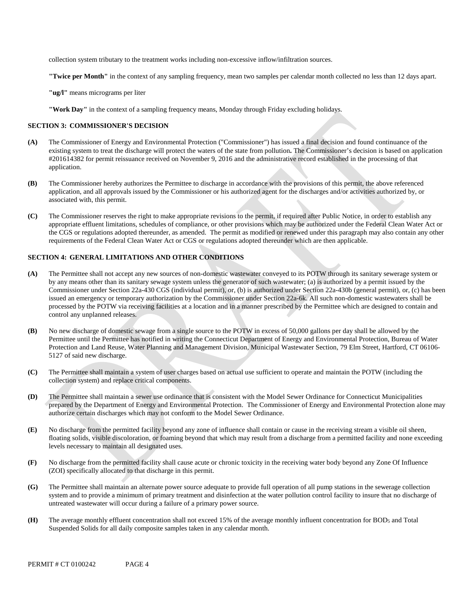collection system tributary to the treatment works including non-excessive inflow/infiltration sources.

**"Twice per Month"** in the context of any sampling frequency, mean two samples per calendar month collected no less than 12 days apart.

**"ug/l"** means micrograms per liter

**"Work Day"** in the context of a sampling frequency means, Monday through Friday excluding holidays.

#### **SECTION 3: COMMISSIONER'S DECISION**

- n existing system to treat the discharge will protect the waters of the state from pollution**.** The Commissioner's decision is based on applicatio **(A)** The Commissioner of Energy and Environmental Protection ("Commissioner") has issued a final decision and found continuance of the #201614382 for permit reissuance received on November 9, 2016 and the administrative record established in the processing of that application.
- **(B)** The Commissioner hereby authorizes the Permittee to discharge in accordance with the provisions of this permit, the above referenced application, and all approvals issued by the Commissioner or his authorized agent for the discharges and/or activities authorized by, or associated with, this permit.
- appropriate effluent limitations, schedules of compliance, or other provisions which may be authorized under the Federal Clean Water Act or the CGS or regulations adopted thereunder, as amended. The permit as modified or renewed under this paragraph may also contain any other requirements of the Federal Clean Water Act or CGS or regulations adopted thereunder which are then applicable. **(C)** The Commissioner reserves the right to make appropriate revisions to the permit, if required after Public Notice, in order to establish any

#### **SECTION 4: GENERAL LIMITATIONS AND OTHER CONDITIONS**

- (A) The Permittee shall not accept any new sources of non-domestic wastewater conveyed to its POTW through its sanitary sewerage system or Commissioner under Section 22a-430 CGS (individual permit), or, (b) is authorized under Section 22a-430b (general permit), or, (c) has been issued an emergency or temporary authorization by the Commissioner under Section 22a-6k. All such non-domestic wastewaters shall be by any means other than its sanitary sewage system unless the generator of such wastewater; (a) is authorized by a permit issued by the processed by the POTW via receiving facilities at a location and in a manner prescribed by the Permittee which are designed to contain and control any unplanned releases.
- No new discharge of domestic sewage from a single source to the POTW in excess of 50,000 gallons per day shall be allowed by the **(B)** Permittee until the Permittee has notified in writing the Connecticut Department of Energy and Environmental Protection, Bureau of Water Protection and Land Reuse, Water Planning and Management Division, Municipal Wastewater Section, 79 Elm Street, Hartford, CT 06106 5127 of said new discharge.
- **(C)** The Permittee shall maintain a system of user charges based on actual use sufficient to operate and maintain the POTW (including the collection system) and replace critical components.
- **(D)** The Permittee shall maintain a sewer use ordinance that is consistent with the Model Sewer Ordinance for Connecticut Municipalities prepared by the Department of Energy and Environmental Protection. The Commissioner of Energy and Environmental Protection alone may authorize certain discharges which may not conform to the Model Sewer Ordinance.
- **(E)** No discharge from the permitted facility beyond any zone of influence shall contain or cause in the receiving stream a visible oil sheen, floating solids, visible discoloration, or foaming beyond that which may result from a discharge from a permitted facility and none exceeding levels necessary to maintain all designated uses.
- **(F)** No discharge from the permitted facility shall cause acute or chronic toxicity in the receiving water body beyond any Zone Of Influence (ZOI) specifically allocated to that discharge in this permit.
- **(G)** The Permittee shall maintain an alternate power source adequate to provide full operation of all pump stations in the sewerage collection system and to provide a minimum of primary treatment and disinfection at the water pollution control facility to insure that no discharge of untreated wastewater will occur during a failure of a primary power source.
- **(H)** The average monthly effluent concentration shall not exceed 15% of the average monthly influent concentration for BOD5 and Total Suspended Solids for all daily composite samples taken in any calendar month.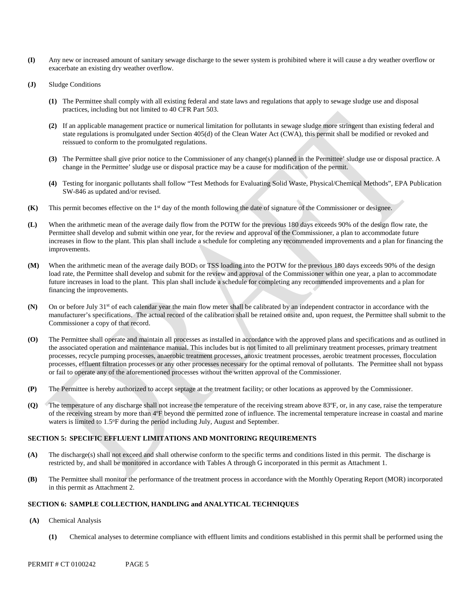- **(I)** Any new or increased amount of sanitary sewage discharge to the sewer system is prohibited where it will cause a dry weather overflow or exacerbate an existing dry weather overflow.
- **(J)** Sludge Conditions
	- **(1)** The Permittee shall comply with all existing federal and state laws and regulations that apply to sewage sludge use and disposal practices, including but not limited to 40 CFR Part 503.
	- **(2)** If an applicable management practice or numerical limitation for pollutants in sewage sludge more stringent than existing federal and state regulations is promulgated under Section 405(d) of the Clean Water Act (CWA), this permit shall be modified or revoked and reissued to conform to the promulgated regulations.
	- **(3)** The Permittee shall give prior notice to the Commissioner of any change(s) planned in the Permittee' sludge use or disposal practice. A change in the Permittee' sludge use or disposal practice may be a cause for modification of the permit.
	- **(4)** Testing for inorganic pollutants shall follow "Test Methods for Evaluating Solid Waste, Physical/Chemical Methods", EPA Publication SW-846 as updated and/or revised.
- **(K)** This permit becomes effective on the 1st day of the month following the date of signature of the Commissioner or designee.
- **(L)** When the arithmetic mean of the average daily flow from the POTW for the previous 180 days exceeds 90% of the design flow rate, the Permittee shall develop and submit within one year, for the review and approval of the Commissioner, a plan to accommodate future increases in flow to the plant. This plan shall include a schedule for completing any recommended improvements and a plan for financing the improvements.
- **(M)** When the arithmetic mean of the average daily BOD5 or TSS loading into the POTW for the previous 180 days exceeds 90% of the design load rate, the Permittee shall develop and submit for the review and approval of the Commissioner within one year, a plan to accommodate future increases in load to the plant. This plan shall include a schedule for completing any recommended improvements and a plan for financing the improvements.
- **(N)** On or before July 31st of each calendar year the main flow meter shall be calibrated by an independent contractor in accordance with the manufacturer's specifications. The actual record of the calibration shall be retained onsite and, upon request, the Permittee shall submit to the Commissioner a copy of that record.
- **(O)** The Permittee shall operate and maintain all processes as installed in accordance with the approved plans and specifications and as outlined in the associated operation and maintenance manual. This includes but is not limited to all preliminary treatment processes, primary treatment processes, recycle pumping processes, anaerobic treatment processes, anoxic treatment processes, aerobic treatment processes, flocculation processes, effluent filtration processes or any other processes necessary for the optimal removal of pollutants. The Permittee shall not bypass or fail to operate any of the aforementioned processes without the written approval of the Commissioner.
- **(P)** The Permittee is hereby authorized to accept septage at the treatment facility; or other locations as approved by the Commissioner.
- **(Q)** The temperature of any discharge shall not increase the temperature of the receiving stream above 83ºF, or, in any case, raise the temperature of the receiving stream by more than 4ºF beyond the permitted zone of influence. The incremental temperature increase in coastal and marine waters is limited to 1.5°F during the period including July, August and September.

### **SECTION 5: SPECIFIC EFFLUENT LIMITATIONS AND MONITORING REQUIREMENTS**

- **(A)** The discharge(s) shall not exceed and shall otherwise conform to the specific terms and conditions listed in this permit. The discharge is restricted by, and shall be monitored in accordance with Tables A through G incorporated in this permit as Attachment 1.
- **(B)** The Permittee shall monitor the performance of the treatment process in accordance with the Monthly Operating Report (MOR) incorporated in this permit as Attachment 2.

#### **SECTION 6: SAMPLE COLLECTION, HANDLING and ANALYTICAL TECHNIQUES**

- **(A)** Chemical Analysis
	- **(1)** Chemical analyses to determine compliance with effluent limits and conditions established in this permit shall be performed using the

PERMIT # CT 0100242 PAGE 5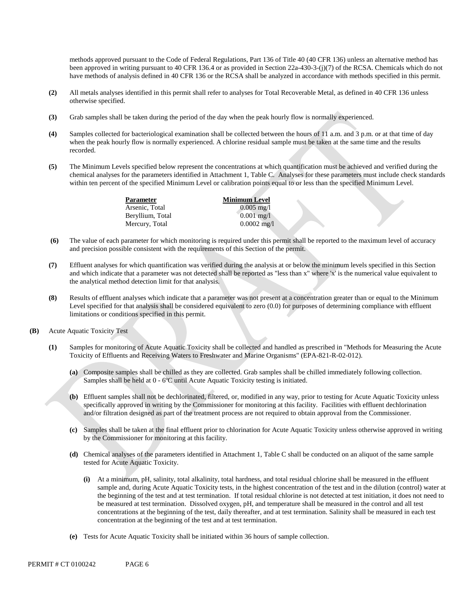methods approved pursuant to the Code of Federal Regulations, Part 136 of Title 40 (40 CFR 136) unless an alternative method has been approved in writing pursuant to 40 CFR 136.4 or as provided in Section 22a-430-3-(j)(7) of the RCSA. Chemicals which do not have methods of analysis defined in 40 CFR 136 or the RCSA shall be analyzed in accordance with methods specified in this permit.

- **(2)** All metals analyses identified in this permit shall refer to analyses for Total Recoverable Metal, as defined in 40 CFR 136 unless otherwise specified.
- **(3)** Grab samples shall be taken during the period of the day when the peak hourly flow is normally experienced.
- **(4)** Samples collected for bacteriological examination shall be collected between the hours of 11 a.m. and 3 p.m. or at that time of day when the peak hourly flow is normally experienced. A chlorine residual sample must be taken at the same time and the results recorded.
- **(5)** The Minimum Levels specified below represent the concentrations at which quantification must be achieved and verified during the chemical analyses for the parameters identified in Attachment 1, Table C. Analyses for these parameters must include check standards within ten percent of the specified Minimum Level or calibration points equal to or less than the specified Minimum Level.

**Parameter**  Arsenic, Total Beryllium, Total Mercury, Total

**Minimum Level**  0.005 mg/l 0.001 mg/l 0.0002 mg/l

- **(6)** The value of each parameter for which monitoring is required under this permit shall be reported to the maximum level of accuracy and precision possible consistent with the requirements of this Section of the permit.
- **(7)** Effluent analyses for which quantification was verified during the analysis at or below the minimum levels specified in this Section and which indicate that a parameter was not detected shall be reported as "less than x" where 'x' is the numerical value equivalent to the analytical method detection limit for that analysis.
- **(8)** Results of effluent analyses which indicate that a parameter was not present at a concentration greater than or equal to the Minimum Level specified for that analysis shall be considered equivalent to zero (0.0) for purposes of determining compliance with effluent limitations or conditions specified in this permit.
- **(B)** Acute Aquatic Toxicity Test
	- **(1)** Samples for monitoring of Acute Aquatic Toxicity shall be collected and handled as prescribed in "Methods for Measuring the Acute Toxicity of Effluents and Receiving Waters to Freshwater and Marine Organisms" (EPA-821-R-02-012).
		- **(a)** Composite samples shall be chilled as they are collected. Grab samples shall be chilled immediately following collection. Samples shall be held at 0 - 6ºC until Acute Aquatic Toxicity testing is initiated.
		- **(b)** Effluent samples shall not be dechlorinated, filtered, or, modified in any way, prior to testing for Acute Aquatic Toxicity unless specifically approved in writing by the Commissioner for monitoring at this facility. Facilities with effluent dechlorination and/or filtration designed as part of the treatment process are not required to obtain approval from the Commissioner.
		- **(c)** Samples shall be taken at the final effluent prior to chlorination for Acute Aquatic Toxicity unless otherwise approved in writing by the Commissioner for monitoring at this facility.
		- **(d)** Chemical analyses of the parameters identified in Attachment 1, Table C shall be conducted on an aliquot of the same sample tested for Acute Aquatic Toxicity.
			- **(i)** At a minimum, pH, salinity, total alkalinity, total hardness, and total residual chlorine shall be measured in the effluent sample and, during Acute Aquatic Toxicity tests, in the highest concentration of the test and in the dilution (control) water at the beginning of the test and at test termination. If total residual chlorine is not detected at test initiation, it does not need to be measured at test termination. Dissolved oxygen, pH, and temperature shall be measured in the control and all test concentrations at the beginning of the test, daily thereafter, and at test termination. Salinity shall be measured in each test concentration at the beginning of the test and at test termination.
		- **(e)** Tests for Acute Aquatic Toxicity shall be initiated within 36 hours of sample collection.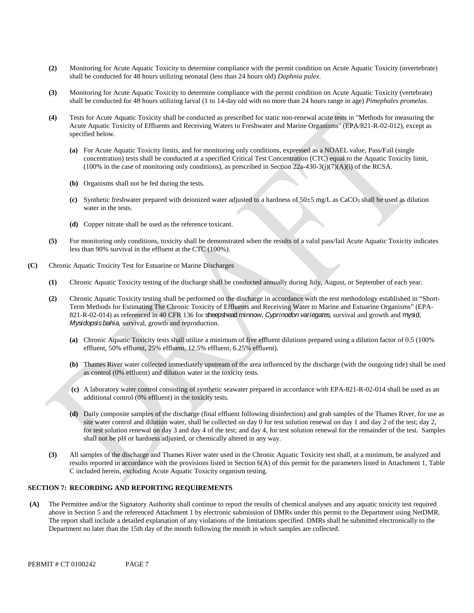- **(2)** Monitoring for Acute Aquatic Toxicity to determine compliance with the permit condition on Acute Aquatic Toxicity (invertebrate) shall be conducted for 48 hours utilizing neonatal (less than 24 hours old) *Daphnia pulex*.
- **(3)** Monitoring for Acute Aquatic Toxicity to determine compliance with the permit condition on Acute Aquatic Toxicity (vertebrate) shall be conducted for 48 hours utilizing larval (1 to 14-day old with no more than 24 hours range in age) *Pimephales promelas*.
- **(4)** Tests for Acute Aquatic Toxicity shall be conducted as prescribed for static non-renewal acute tests in "Methods for measuring the Acute Aquatic Toxicity of Effluents and Receiving Waters to Freshwater and Marine Organisms" (EPA/821-R-02-012), except as specified below.
	- **(a)** For Acute Aquatic Toxicity limits, and for monitoring only conditions, expressed as a NOAEL value, Pass/Fail (single concentration) tests shall be conducted at a specified Critical Test Concentration (CTC) equal to the Aquatic Toxicity limit, (100% in the case of monitoring only conditions), as prescribed in Section 22a-430-3(j)(7)(A)(i) of the RCSA.
	- **(b)** Organisms shall not be fed during the tests.
	- **(c)** Synthetic freshwater prepared with deionized water adjusted to a hardness of 50±5 mg/L as CaCO3 shall be used as dilution water in the tests.
	- **(d)** Copper nitrate shall be used as the reference toxicant.
- **(5)** For monitoring only conditions, toxicity shall be demonstrated when the results of a valid pass/fail Acute Aquatic Toxicity indicates less than 90% survival in the effluent at the CTC (100%).
- **(C)** Chronic Aquatic Toxicity Test for Estuarine or Marine Discharges
	- **(1)** Chronic Aquatic Toxicity testing of the discharge shall be conducted annually during July, August, or September of each year.
	- *Mysidopsis bahia,* survival, growth and reproduction. **(2)** Chronic Aquatic Toxicity testing shall be performed on the discharge in accordance with the test methodology established in "Short-Term Methods for Estimating The Chronic Toxicity of Effluents and Receiving Water to Marine and Estuarine Organisms" (EPA-821-R-02-014) as referenced in 40 CFR 136 for sheepshead minnow, *Cyprinodon variegates,* survival and growth and mysid,
		- **(a)** Chronic Aquatic Toxicity tests shall utilize a minimum of five effluent dilutions prepared using a dilution factor of 0.5 (100% effluent, 50% effluent, 25% effluent, 12.5% effluent, 6.25% effluent).
		- **(b)** Thames River water collected immediately upstream of the area influenced by the discharge (with the outgoing tide) shall be used as control (0% effluent) and dilution water in the toxicity tests.
		- **(c)** A laboratory water control consisting of synthetic seawater prepared in accordance with EPA-821-R-02-014 shall be used as an additional control (0% effluent) in the toxicity tests.
		- for test solution renewal on day 3 and day 4 of the test; and day 4, for test solution renewal for the remainder of the test. Samples shall not be pH or hardness adjusted, or chemically altered in any way. **(d)** Daily composite samples of the discharge (final effluent following disinfection) and grab samples of the Thames River, for use as site water control and dilution water, shall be collected on day 0 for test solution renewal on day 1 and day 2 of the test; day 2,
	- **(3)** All samples of the discharge and Thames River water used in the Chronic Aquatic Toxicity test shall, at a minimum, be analyzed and results reported in accordance with the provisions listed in Section 6(A) of this permit for the parameters listed in Attachment 1, Table C included herein, excluding Acute Aquatic Toxicity organism testing.

### **SECTION 7: RECORDING AND REPORTING REQUIREMENTS**

**(A)** The Permittee and/or the Signatory Authority shall continue to report the results of chemical analyses and any aquatic toxicity test required above in Section 5 and the referenced Attachment 1 by electronic submission of DMRs under this permit to the Department using NetDMR. The report shall include a detailed explanation of any violations of the limitations specified. DMRs shall be submitted electronically to the Department no later than the 15th day of the month following the month in which samples are collected.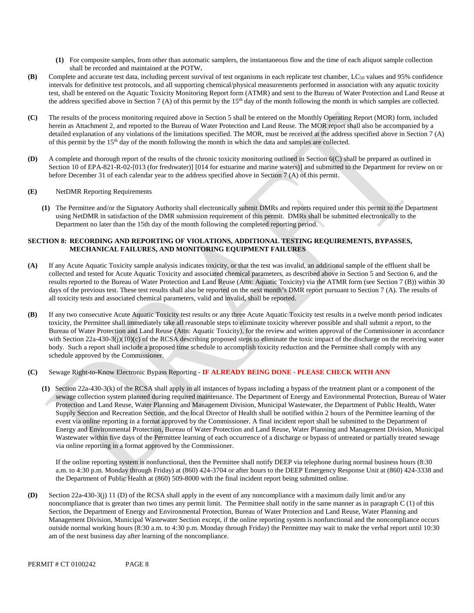- **(1)** For composite samples, from other than automatic samplers, the instantaneous flow and the time of each aliquot sample collection shall be recorded and maintained at the POTW**.**
- **(B)** Complete and accurate test data, including percent survival of test organisms in each replicate test chamber, LC50 values and 95% confidence intervals for definitive test protocols, and all supporting chemical/physical measurements performed in association with any aquatic toxicity test, shall be entered on the Aquatic Toxicity Monitoring Report form (ATMR) and sent to the Bureau of Water Protection and Land Reuse at the address specified above in Section 7 (A) of this permit by the 15<sup>th</sup> day of the month following the month in which samples are collected.
- **(C)** The results of the process monitoring required above in Section 5 shall be entered on the Monthly Operating Report (MOR) form, included herein as Attachment 2, and reported to the Bureau of Water Protection and Land Reuse. The MOR report shall also be accompanied by a detailed explanation of any violations of the limitations specified. The MOR, must be received at the address specified above in Section 7 (A) of this permit by the 15th day of the month following the month in which the data and samples are collected.
- **(D)** A complete and thorough report of the results of the chronic toxicity monitoring outlined in Section 6(C) shall be prepared as outlined in Section 10 of EPA-821-R-02-[013 (for freshwater)] [014 for estuarine and marine waters)] and submitted to the Department for review on or before December 31 of each calendar year to the address specified above in Section 7 (A) of this permit.
- **(E)** NetDMR Reporting Requirements
	- **(1)** The Permittee and/or the Signatory Authority shall electronically submit DMRs and reports required under this permit to the Department using NetDMR in satisfaction of the DMR submission requirement of this permit. DMRs shall be submitted electronically to the Department no later than the 15th day of the month following the completed reporting period.

### **SECTION 8: RECORDING AND REPORTING OF VIOLATIONS, ADDITIONAL TESTING REQUIREMENTS, BYPASSES, MECHANICAL FAILURES, AND MONITORING EQUIPMENT FAILURES**

- **(A)** If any Acute Aquatic Toxicity sample analysis indicates toxicity, or that the test was invalid, an additional sample of the effluent shall be collected and tested for Acute Aquatic Toxicity and associated chemical parameters, as described above in Section 5 and Section 6, and the results reported to the Bureau of Water Protection and Land Reuse (Attn: Aquatic Toxicity) via the ATMR form (see Section 7 (B)) within 30 days of the previous test. These test results shall also be reported on the next month's DMR report pursuant to Section 7 (A). The results of all toxicity tests and associated chemical parameters, valid and invalid, shall be reported.
- **(B)** If any two consecutive Acute Aquatic Toxicity test results or any three Acute Aquatic Toxicity test results in a twelve month period indicates toxicity, the Permittee shall immediately take all reasonable steps to eliminate toxicity wherever possible and shall submit a report, to the Bureau of Water Protection and Land Reuse (Attn: Aquatic Toxicity), for the review and written approval of the Commissioner in accordance with Section 22a-430-3(j)(10)(c) of the RCSA describing proposed steps to eliminate the toxic impact of the discharge on the receiving water body. Such a report shall include a proposed time schedule to accomplish toxicity reduction and the Permittee shall comply with any schedule approved by the Commissioner.

### **(C)** Sewage Right-to-Know Electronic Bypass Reporting - **IF ALREADY BEING DONE - PLEASE CHECK WITH ANN**

**(1)** Section 22a-430-3(k) of the RCSA shall apply in all instances of bypass including a bypass of the treatment plant or a component of the sewage collection system planned during required maintenance. The Department of Energy and Environmental Protection, Bureau of Water Protection and Land Reuse, Water Planning and Management Division, Municipal Wastewater, the Department of Public Health, Water Supply Section and Recreation Section, and the local Director of Health shall be notified within 2 hours of the Permittee learning of the event via online reporting in a format approved by the Commissioner. A final incident report shall be submitted to the Department of Energy and Environmental Protection, Bureau of Water Protection and Land Reuse, Water Planning and Management Division, Municipal Wastewater within five days of the Permittee learning of each occurrence of a discharge or bypass of untreated or partially treated sewage via online reporting in a format approved by the Commissioner.

If the online reporting system is nonfunctional, then the Permittee shall notify DEEP via telephone during normal business hours (8:30 a.m. to 4:30 p.m. Monday through Friday) at (860) 424-3704 or after hours to the DEEP Emergency Response Unit at (860) 424-3338 and the Department of Public Health at (860) 509-8000 with the final incident report being submitted online.

**(D)** Section 22a-430-3(j) 11 (D) of the RCSA shall apply in the event of any noncompliance with a maximum daily limit and/or any noncompliance that is greater than two times any permit limit. The Permittee shall notify in the same manner as in paragraph C (1) of this Section, the Department of Energy and Environmental Protection, Bureau of Water Protection and Land Reuse, Water Planning and Management Division, Municipal Wastewater Section except, if the online reporting system is nonfunctional and the noncompliance occurs outside normal working hours (8:30 a.m. to 4:30 p.m. Monday through Friday) the Permittee may wait to make the verbal report until 10:30 am of the next business day after learning of the noncompliance.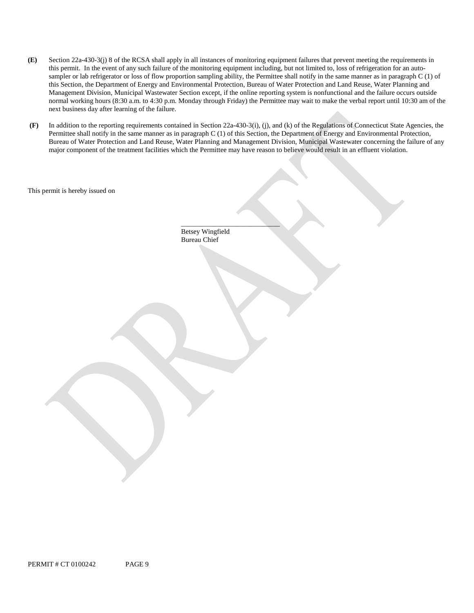- **(E)** Section 22a-430-3(j) 8 of the RCSA shall apply in all instances of monitoring equipment failures that prevent meeting the requirements in this permit. In the event of any such failure of the monitoring equipment including, but not limited to, loss of refrigeration for an autosampler or lab refrigerator or loss of flow proportion sampling ability, the Permittee shall notify in the same manner as in paragraph C (1) of this Section, the Department of Energy and Environmental Protection, Bureau of Water Protection and Land Reuse, Water Planning and Management Division, Municipal Wastewater Section except, if the online reporting system is nonfunctional and the failure occurs outside normal working hours (8:30 a.m. to 4:30 p.m. Monday through Friday) the Permittee may wait to make the verbal report until 10:30 am of the next business day after learning of the failure.
- **(F)** In addition to the reporting requirements contained in Section 22a-430-3(i), (j), and (k) of the Regulations of Connecticut State Agencies, the Permittee shall notify in the same manner as in paragraph C (1) of this Section, the Department of Energy and Environmental Protection, Bureau of Water Protection and Land Reuse, Water Planning and Management Division, Municipal Wastewater concerning the failure of any major component of the treatment facilities which the Permittee may have reason to believe would result in an effluent violation.

This permit is hereby issued on

\_\_\_\_\_\_\_\_\_\_\_\_\_\_\_\_\_\_\_\_\_\_\_\_\_\_\_\_ Betsey Wingfield Bureau Chief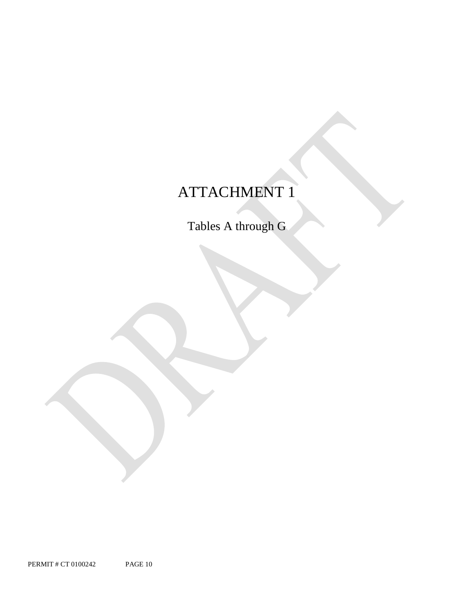# ATTACHMENT 1

Tables A through G

PERMIT # CT 0100242 PAGE 10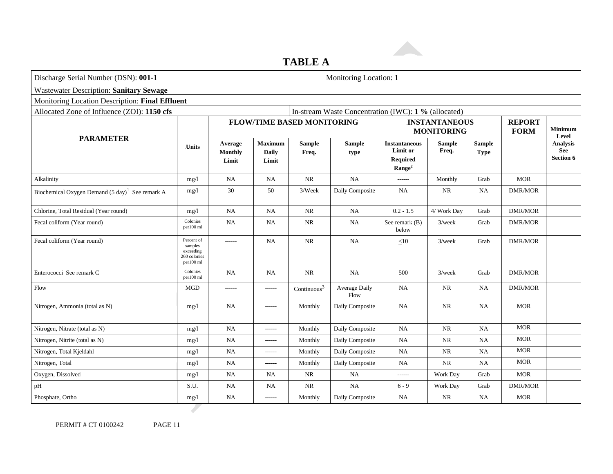# **TABLE A**

**Allen** 

| Discharge Serial Number (DSN): 001-1                            |                                                 |                                         |                         |                              |                                                                           | Monitoring Location: 1                    |                                                      |                |                                                   |  |  |  |
|-----------------------------------------------------------------|-------------------------------------------------|-----------------------------------------|-------------------------|------------------------------|---------------------------------------------------------------------------|-------------------------------------------|------------------------------------------------------|----------------|---------------------------------------------------|--|--|--|
|                                                                 |                                                 |                                         |                         |                              |                                                                           |                                           |                                                      |                |                                                   |  |  |  |
|                                                                 |                                                 |                                         |                         |                              |                                                                           |                                           |                                                      |                |                                                   |  |  |  |
|                                                                 |                                                 |                                         |                         |                              |                                                                           |                                           |                                                      |                |                                                   |  |  |  |
|                                                                 |                                                 | <b>FLOW/TIME BASED MONITORING</b>       |                         |                              |                                                                           | <b>INSTANTANEOUS</b><br><b>MONITORING</b> |                                                      |                | <b>Minimum</b><br>Level                           |  |  |  |
| <b>Units</b>                                                    | Average<br><b>Monthly</b><br>Limit              | <b>Maximum</b><br><b>Daily</b><br>Limit | <b>Sample</b><br>Freq.  | <b>Sample</b><br>type        | <b>Instantaneous</b><br>Limit or<br><b>Required</b><br>Range <sup>2</sup> | <b>Sample</b><br>Freq.                    | <b>Sample</b><br><b>Type</b>                         |                | <b>Analysis</b><br><b>See</b><br><b>Section 6</b> |  |  |  |
| mg/l                                                            | NA                                              | <b>NA</b>                               | $\rm NR$                | NA                           | $-----$                                                                   | Monthly                                   | Grab                                                 | <b>MOR</b>     |                                                   |  |  |  |
| mg/l                                                            | 30                                              | 50                                      | 3/Week                  | Daily Composite              | <b>NA</b>                                                                 | NR                                        | <b>NA</b>                                            | <b>DMR/MOR</b> |                                                   |  |  |  |
| mg/l                                                            | NA                                              | <b>NA</b>                               | NR                      | <b>NA</b>                    | $0.2 - 1.5$                                                               | 4/ Work Day                               | Grab                                                 | <b>DMR/MOR</b> |                                                   |  |  |  |
| Colonies<br>per100 ml                                           | NA                                              | <b>NA</b>                               | <b>NR</b>               | <b>NA</b>                    | See remark (B)<br>below                                                   | $3$ /week                                 | Grab                                                 | DMR/MOR        |                                                   |  |  |  |
| Percent of<br>samples<br>exceeding<br>260 colonies<br>per100 ml | ------                                          | <b>NA</b>                               | $\rm NR$                | NA                           | $\leq 10$                                                                 | $3$ /week                                 | Grab                                                 | <b>DMR/MOR</b> |                                                   |  |  |  |
| Colonies<br>per100 ml                                           | <b>NA</b>                                       | <b>NA</b>                               | $\rm NR$                | NA                           | 500                                                                       | $3$ /week                                 | Grab                                                 | <b>DMR/MOR</b> |                                                   |  |  |  |
| MGD                                                             | ------                                          | $- - - - - -$                           | Continuous <sup>3</sup> | <b>Average Daily</b><br>Flow | <b>NA</b>                                                                 | <b>NR</b>                                 | <b>NA</b>                                            | <b>DMR/MOR</b> |                                                   |  |  |  |
| mg/l                                                            | <b>NA</b>                                       | ------                                  | Monthly                 | Daily Composite              | <b>NA</b>                                                                 | <b>NR</b>                                 | <b>NA</b>                                            | <b>MOR</b>     |                                                   |  |  |  |
| mg/l                                                            | <b>NA</b>                                       | ------                                  | Monthly                 | Daily Composite              | <b>NA</b>                                                                 | <b>NR</b>                                 | <b>NA</b>                                            | <b>MOR</b>     |                                                   |  |  |  |
| mg/1                                                            | <b>NA</b>                                       | $--- -$                                 | Monthly                 | Daily Composite              | NA                                                                        | NR                                        | NA                                                   | <b>MOR</b>     |                                                   |  |  |  |
| mg/l                                                            | NA                                              | ------                                  | Monthly                 | Daily Composite              | <b>NA</b>                                                                 | <b>NR</b>                                 | <b>NA</b>                                            | <b>MOR</b>     |                                                   |  |  |  |
| mg/l                                                            | <b>NA</b>                                       | ------                                  | Monthly                 | Daily Composite              | <b>NA</b>                                                                 | NR                                        | <b>NA</b>                                            | <b>MOR</b>     |                                                   |  |  |  |
| mg/1                                                            | <b>NA</b>                                       | <b>NA</b>                               | $\rm NR$                | <b>NA</b>                    | ------                                                                    | Work Day                                  | Grab                                                 | <b>MOR</b>     |                                                   |  |  |  |
| S.U.                                                            | <b>NA</b>                                       | <b>NA</b>                               | <b>NR</b>               | NA                           | $6 - 9$                                                                   | Work Day                                  | Grab                                                 | <b>DMR/MOR</b> |                                                   |  |  |  |
| mg/l                                                            | NA                                              | ------                                  | Monthly                 | Daily Composite              | <b>NA</b>                                                                 | NR.                                       | <b>NA</b>                                            | <b>MOR</b>     |                                                   |  |  |  |
|                                                                 | Monitoring Location Description: Final Effluent |                                         |                         |                              |                                                                           |                                           | In-stream Waste Concentration (IWC): 1 % (allocated) |                | <b>REPORT</b><br><b>FORM</b>                      |  |  |  |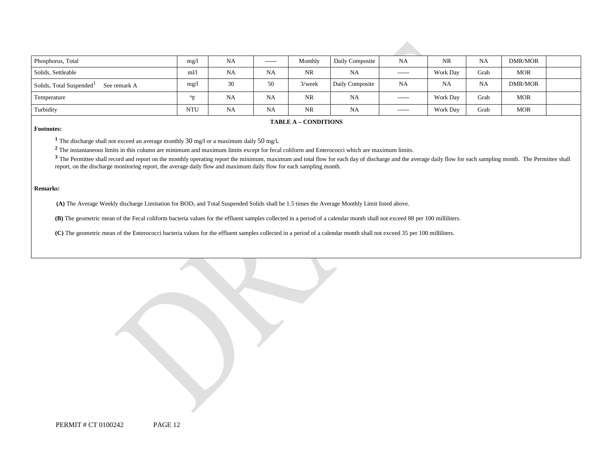| Phosphorus, Total                                    | mg/l       | <b>NA</b> | $- - - - - -$ | Monthly   | Daily Composite | <b>NA</b>     | <b>NR</b>      | <b>NA</b> | <b>DMR/MOR</b> |  |
|------------------------------------------------------|------------|-----------|---------------|-----------|-----------------|---------------|----------------|-----------|----------------|--|
| Solids, Settleable                                   | m1/1       | <b>NA</b> | <b>NA</b>     | <b>NR</b> | <b>NA</b>       | $-----1$      | Work Day       | Grab      | <b>MOR</b>     |  |
| Solids, Total Suspended <sup>1</sup><br>See remark A | mg/l       | 30        | 50            | $3$ /week | Daily Composite | <b>NA</b>     | N <sub>A</sub> | <b>NA</b> | DMR/MOR        |  |
| Temperature                                          | $O_{17}$   | NA        | <b>NA</b>     | <b>NR</b> | NA              | ------        | Work Day       | Grab      | <b>MOR</b>     |  |
| Turbidity                                            | <b>NTU</b> | <b>NA</b> | <b>NA</b>     | <b>NR</b> | NA              | $- - - - - -$ | Work Day       | Grab      | <b>MOR</b>     |  |

#### **FABLE A – CONDITIONS**

#### **Footnotes:**

**<sup>1</sup>**The discharge shall not exceed an average monthly 30 mg/l or a maximum daily 50 mg/l**.** 

**<sup>2</sup>**The instantaneous limits in this column are minimum and maximum limits except for fecal coliform and Enterococci which are maximum limits.

<sup>3</sup> The Permittee shall record and report on the monthly operating report the minimum, maximum and total flow for each day of discharge and the average daily flow for each sampling month. The Permittee shall report, on the discharge monitoring report, the average daily flow and maximum daily flow for each sampling month.

#### **Remarks:**

**(A)** The Average Weekly discharge Limitation for BOD5 and Total Suspended Solids shall be 1.5 times the Average Monthly Limit listed above.

**(B)** The geometric mean of the Fecal coliform bacteria values for the effluent samples collected in a period of a calendar month shall not exceed 88 per 100 milliliters.

**(C)** The geometric mean of the Enterococci bacteria values for the effluent samples collected in a period of a calendar month shall not exceed 35 per 100 milliliters.

PERMIT # CT 0100242 PAGE 12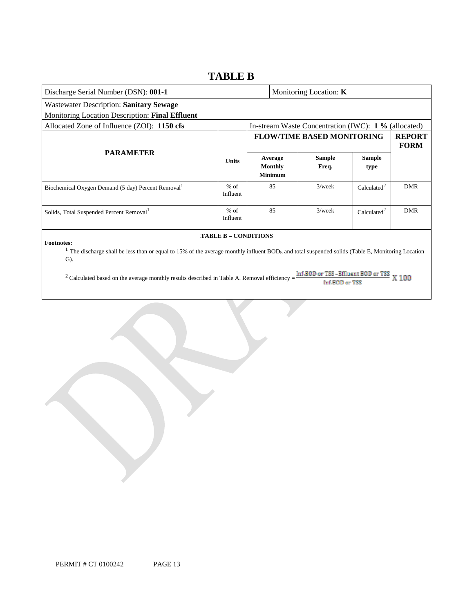### **TABLE B**

| Discharge Serial Number (DSN): 001-1                                                                                                                                                                                  |                    |  | Monitoring Location: $K$             |                                                      |                         |                              |  |  |  |
|-----------------------------------------------------------------------------------------------------------------------------------------------------------------------------------------------------------------------|--------------------|--|--------------------------------------|------------------------------------------------------|-------------------------|------------------------------|--|--|--|
| Wastewater Description: Sanitary Sewage                                                                                                                                                                               |                    |  |                                      |                                                      |                         |                              |  |  |  |
| Monitoring Location Description: Final Effluent                                                                                                                                                                       |                    |  |                                      |                                                      |                         |                              |  |  |  |
| Allocated Zone of Influence (ZOI): 1150 cfs                                                                                                                                                                           |                    |  |                                      | In-stream Waste Concentration (IWC): 1 % (allocated) |                         |                              |  |  |  |
| <b>PARAMETER</b>                                                                                                                                                                                                      | <b>Units</b>       |  |                                      | <b>FLOW/TIME BASED MONITORING</b>                    |                         | <b>REPORT</b><br><b>FORM</b> |  |  |  |
|                                                                                                                                                                                                                       |                    |  | Average<br>Monthly<br><b>Minimum</b> | <b>Sample</b><br>Freq.                               | <b>Sample</b><br>type   |                              |  |  |  |
| Biochemical Oxygen Demand (5 day) Percent Removal                                                                                                                                                                     | $%$ of<br>Influent |  | 85                                   | $3$ /week                                            | Calculated <sup>2</sup> | <b>DMR</b>                   |  |  |  |
| Solids, Total Suspended Percent Removal <sup>1</sup>                                                                                                                                                                  | $%$ of<br>Influent |  | 85                                   | $3$ /week                                            | Calculated <sup>2</sup> | <b>DMR</b>                   |  |  |  |
| <b>TABLE B - CONDITIONS</b><br><b>Footnotes:</b><br>The discharge shall be less than or equal to 15% of the average monthly influent BOD5 and total suspended solids (Table E, Monitoring Location<br>$\mathbf{G}$ ). |                    |  |                                      |                                                      |                         |                              |  |  |  |

<sup>2</sup> Calculated based on the average monthly results described in Table A. Removal efficiency =  $\frac{m\pi\epsilon_0}{r}$  and  $\frac{m\pi}{r}$  and  $\frac{m\pi}{r}$   $\frac{m\pi}{r}$   $\frac{m\pi}{r}$   $\frac{m\pi}{r}$   $\frac{m\pi}{r}$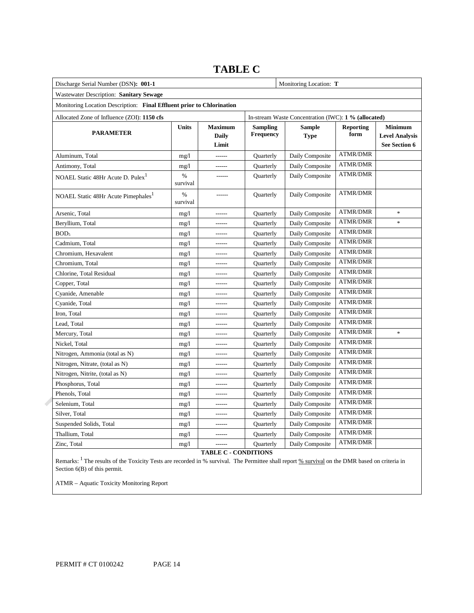| Discharge Serial Number (DSN): 001-1                                  |                  | Monitoring Location: T                               |                                     |                              |                          |                                                          |
|-----------------------------------------------------------------------|------------------|------------------------------------------------------|-------------------------------------|------------------------------|--------------------------|----------------------------------------------------------|
| Wastewater Description: Sanitary Sewage                               |                  |                                                      |                                     |                              |                          |                                                          |
| Monitoring Location Description: Final Effluent prior to Chlorination |                  |                                                      |                                     |                              |                          |                                                          |
| Allocated Zone of Influence (ZOI): 1150 cfs                           |                  | In-stream Waste Concentration (IWC): 1 % (allocated) |                                     |                              |                          |                                                          |
| <b>PARAMETER</b>                                                      | Units            | <b>Maximum</b><br><b>Daily</b><br>Limit              | <b>Sampling</b><br><b>Frequency</b> | <b>Sample</b><br><b>Type</b> | <b>Reporting</b><br>form | <b>Minimum</b><br><b>Level Analysis</b><br>See Section 6 |
| Aluminum, Total                                                       | mg/1             | -------                                              | Quarterly                           | Daily Composite              | <b>ATMR/DMR</b>          |                                                          |
| Antimony, Total                                                       | mg/1             | ------                                               | Quarterly                           | Daily Composite              | <b>ATMR/DMR</b>          |                                                          |
| NOAEL Static 48Hr Acute D. Pulex <sup>1</sup>                         | %<br>survival    | ------                                               | Quarterly                           | Daily Composite              | <b>ATMR/DMR</b>          |                                                          |
| NOAEL Static 48Hr Acute Pimephales <sup>1</sup>                       | $\%$<br>survival |                                                      | Quarterly                           | Daily Composite              | <b>ATMR/DMR</b>          |                                                          |
| Arsenic, Total                                                        | mg/1             |                                                      | Quarterly                           | Daily Composite              | <b>ATMR/DMR</b>          | $\frac{1}{2}$                                            |
| Beryllium, Total                                                      | mg/1             | ------                                               | Quarterly                           | Daily Composite              | <b>ATMR/DMR</b>          | $\ast$                                                   |
| BOD <sub>5</sub>                                                      | mg/1             |                                                      | Quarterly                           | Daily Composite              | <b>ATMR/DMR</b>          |                                                          |
| Cadmium, Total                                                        | mg/1             | ------                                               | Quarterly                           | Daily Composite              | <b>ATMR/DMR</b>          |                                                          |
| Chromium, Hexavalent                                                  | mg/1             |                                                      | Quarterly                           | Daily Composite              | <b>ATMR/DMR</b>          |                                                          |
| Chromium, Total                                                       | mg/1             | ------                                               | Quarterly                           | Daily Composite              | <b>ATMR/DMR</b>          |                                                          |
| Chlorine, Total Residual                                              | mg/1             | ------                                               | Quarterly                           | Daily Composite              | ATMR/DMR                 |                                                          |
| Copper, Total                                                         | mg/1             | ------                                               | Quarterly                           | Daily Composite              | <b>ATMR/DMR</b>          |                                                          |
| Cyanide, Amenable                                                     | mg/1             | ------                                               | Quarterly                           | Daily Composite              | ATMR/DMR                 |                                                          |
| Cyanide, Total                                                        | mg/1             | ------                                               | <b>Quarterly</b>                    | Daily Composite              | <b>ATMR/DMR</b>          |                                                          |
| Iron, Total                                                           | mg/1             |                                                      | Quarterly                           | Daily Composite              | <b>ATMR/DMR</b>          |                                                          |
| Lead, Total                                                           | mg/1             | ------                                               | <b>Quarterly</b>                    | Daily Composite              | <b>ATMR/DMR</b>          |                                                          |
| Mercury, Total                                                        | mg/1             | ------                                               | Quarterly                           | Daily Composite              | <b>ATMR/DMR</b>          | $\ast$                                                   |
| Nickel, Total                                                         | mg/1             | ------                                               | <b>Quarterly</b>                    | Daily Composite              | <b>ATMR/DMR</b>          |                                                          |
| Nitrogen, Ammonia (total as N)                                        | mg/1             | ------                                               | Quarterly                           | Daily Composite              | <b>ATMR/DMR</b>          |                                                          |
| Nitrogen, Nitrate, (total as N)                                       | mg/1             | ------                                               | Quarterly                           | Daily Composite              | <b>ATMR/DMR</b>          |                                                          |
| Nitrogen, Nitrite, (total as N)                                       | mg/1             | ------                                               | Quarterly                           | Daily Composite              | <b>ATMR/DMR</b>          |                                                          |
| Phosphorus, Total                                                     | mg/1             | -------                                              | Quarterly                           | Daily Composite              | ATMR/DMR                 |                                                          |
| Phenols, Total                                                        | mg/1             | ------                                               | Quarterly                           | Daily Composite              | <b>ATMR/DMR</b>          |                                                          |
| Selenium, Total                                                       | mg/1             | -------                                              | Quarterly                           | Daily Composite              | ATMR/DMR                 |                                                          |
| Silver, Total                                                         | mg/1             | ------                                               | Quarterly                           | Daily Composite              | <b>ATMR/DMR</b>          |                                                          |
| Suspended Solids, Total                                               | mg/1             | ------                                               | Quarterly                           | Daily Composite              | ATMR/DMR                 |                                                          |
| Thallium, Total                                                       | mg/1             | ------                                               | <b>Ouarterly</b>                    | Daily Composite              | <b>ATMR/DMR</b>          |                                                          |
| Zinc, Total                                                           | mg/1             |                                                      | Quarterly                           | Daily Composite              | <b>ATMR/DMR</b>          |                                                          |

# **TABLE C**

**TABLE C - CONDITIONS** 

Remarks: <sup>1</sup> The results of the Toxicity Tests are recorded in % survival. The Permittee shall report % survival on the DMR based on criteria in Section 6(B) of this permit.

ATMR – Aquatic Toxicity Monitoring Report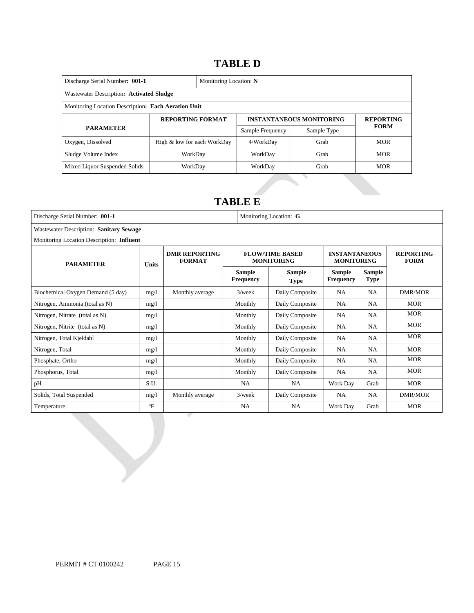## 14B**TABLE D**

| Discharge Serial Number: 001-1                      |                             | Monitoring Location: N |                  |                                 |                  |  |  |  |  |
|-----------------------------------------------------|-----------------------------|------------------------|------------------|---------------------------------|------------------|--|--|--|--|
| Wastewater Description: Activated Sludge            |                             |                        |                  |                                 |                  |  |  |  |  |
| Monitoring Location Description: Each Aeration Unit |                             |                        |                  |                                 |                  |  |  |  |  |
| <b>REPORTING FORMAT</b>                             |                             |                        |                  | <b>INSTANTANEOUS MONITORING</b> | <b>REPORTING</b> |  |  |  |  |
| <b>PARAMETER</b>                                    |                             |                        | Sample Frequency | Sample Type                     | <b>FORM</b>      |  |  |  |  |
| Oxygen, Dissolved                                   | High & low for each WorkDay |                        | 4/WorkDay        | Grab                            | <b>MOR</b>       |  |  |  |  |
| Sludge Volume Index                                 | WorkDay                     |                        | WorkDay          | Grab                            | <b>MOR</b>       |  |  |  |  |
| Mixed Liquor Suspended Solids                       | WorkDay                     |                        | WorkDay          | Grab                            | <b>MOR</b>       |  |  |  |  |

# 15B**TABLE E**

| Discharge Serial Number: 001-1            |              | Monitoring Location: G                |                            |                                             |                                           |                              |                                 |  |  |  |
|-------------------------------------------|--------------|---------------------------------------|----------------------------|---------------------------------------------|-------------------------------------------|------------------------------|---------------------------------|--|--|--|
| Wastewater Description: Sanitary Sewage   |              |                                       |                            |                                             |                                           |                              |                                 |  |  |  |
| Monitoring Location Description: Influent |              |                                       |                            |                                             |                                           |                              |                                 |  |  |  |
| <b>PARAMETER</b>                          | <b>Units</b> | <b>DMR REPORTING</b><br><b>FORMAT</b> |                            | <b>FLOW/TIME BASED</b><br><b>MONITORING</b> | <b>INSTANTANEOUS</b><br><b>MONITORING</b> |                              | <b>REPORTING</b><br><b>FORM</b> |  |  |  |
|                                           |              |                                       | Sample<br><b>Frequency</b> | Sample<br><b>Type</b>                       | <b>Sample</b><br><b>Frequency</b>         | <b>Sample</b><br><b>Type</b> |                                 |  |  |  |
| Biochemical Oxygen Demand (5 day)         | mg/1         | Monthly average                       | $3$ /week                  | Daily Composite                             | <b>NA</b>                                 | <b>NA</b>                    | <b>DMR/MOR</b>                  |  |  |  |
| Nitrogen, Ammonia (total as N)            | mg/l         |                                       | Monthly                    | Daily Composite                             | <b>NA</b>                                 | <b>NA</b>                    | <b>MOR</b>                      |  |  |  |
| Nitrogen, Nitrate (total as N)            | mg/l         |                                       | Monthly                    | Daily Composite                             | <b>NA</b>                                 | <b>NA</b>                    | <b>MOR</b>                      |  |  |  |
| Nitrogen, Nitrite (total as N)            | mg/l         |                                       | Monthly                    | Daily Composite                             | <b>NA</b>                                 | <b>NA</b>                    | <b>MOR</b>                      |  |  |  |
| Nitrogen, Total Kjeldahl                  | mg/l         |                                       | Monthly                    | Daily Composite                             | NA                                        | <b>NA</b>                    | <b>MOR</b>                      |  |  |  |
| Nitrogen, Total                           | mg/1         |                                       | Monthly                    | Daily Composite                             | <b>NA</b>                                 | <b>NA</b>                    | <b>MOR</b>                      |  |  |  |
| Phosphate, Ortho                          | mg/l         |                                       | Monthly                    | Daily Composite                             | <b>NA</b>                                 | NA                           | <b>MOR</b>                      |  |  |  |
| Phosphorus, Total                         | mg/l         |                                       | Monthly                    | Daily Composite                             | <b>NA</b>                                 | <b>NA</b>                    | <b>MOR</b>                      |  |  |  |
| pH                                        | S.U.         |                                       | NA                         | <b>NA</b>                                   | Work Day                                  | Grab                         | <b>MOR</b>                      |  |  |  |
| Solids, Total Suspended                   | mg/l         | Monthly average                       | $3$ /week                  | Daily Composite                             | <b>NA</b>                                 | <b>NA</b>                    | DMR/MOR                         |  |  |  |
| Temperature                               | $\mathrm{P}$ |                                       | <b>NA</b>                  | NA                                          | Work Day                                  | Grab                         | <b>MOR</b>                      |  |  |  |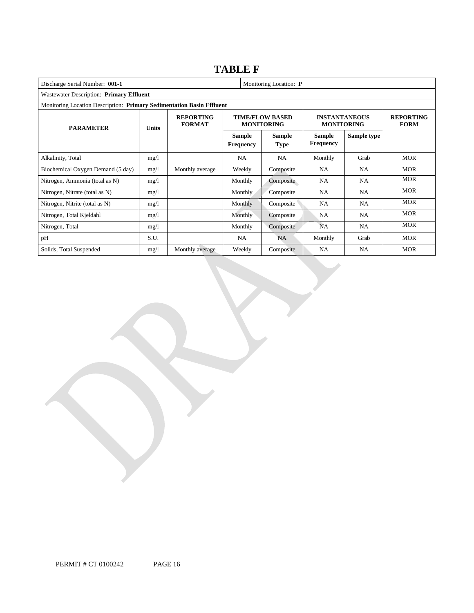# **TABLE F**

| Discharge Serial Number: 001-1                                        |              |                                   |                                   | Monitoring Location: P                      |                                           |                                 |            |  |  |  |
|-----------------------------------------------------------------------|--------------|-----------------------------------|-----------------------------------|---------------------------------------------|-------------------------------------------|---------------------------------|------------|--|--|--|
| Wastewater Description: Primary Effluent                              |              |                                   |                                   |                                             |                                           |                                 |            |  |  |  |
| Monitoring Location Description: Primary Sedimentation Basin Effluent |              |                                   |                                   |                                             |                                           |                                 |            |  |  |  |
| <b>PARAMETER</b>                                                      | <b>Units</b> | <b>REPORTING</b><br><b>FORMAT</b> |                                   | <b>TIME/FLOW BASED</b><br><b>MONITORING</b> | <b>INSTANTANEOUS</b><br><b>MONITORING</b> | <b>REPORTING</b><br><b>FORM</b> |            |  |  |  |
|                                                                       |              |                                   | <b>Sample</b><br><b>Frequency</b> | Sample<br><b>Type</b>                       | <b>Sample</b><br><b>Frequency</b>         | Sample type                     |            |  |  |  |
| Alkalinity, Total                                                     | mg/l         |                                   | NA.                               | <b>NA</b>                                   | Monthly                                   | Grab                            | <b>MOR</b> |  |  |  |
| Biochemical Oxygen Demand (5 day)                                     | mg/l         | Monthly average                   | Weekly                            | Composite                                   | NA.                                       | NA.                             | <b>MOR</b> |  |  |  |
| Nitrogen, Ammonia (total as N)                                        | mg/l         |                                   | Monthly                           | Composite                                   | NA                                        | NA.                             | <b>MOR</b> |  |  |  |
| Nitrogen, Nitrate (total as N)                                        | mg/1         |                                   | <b>Monthly</b>                    | Composite                                   | NA                                        | NA                              | <b>MOR</b> |  |  |  |
| Nitrogen, Nitrite (total as N)                                        | mg/1         |                                   | Monthly                           | Composite                                   | NA                                        | <b>NA</b>                       | <b>MOR</b> |  |  |  |
| Nitrogen, Total Kjeldahl                                              | mg/1         |                                   | Monthly                           | Composite                                   | <b>NA</b>                                 | NA.                             | <b>MOR</b> |  |  |  |
| Nitrogen, Total                                                       | mg/l         |                                   | Monthly                           | Composite                                   | <b>NA</b>                                 | <b>NA</b>                       | <b>MOR</b> |  |  |  |
| pH                                                                    | S.U.         |                                   | NA                                | NA.                                         | Monthly                                   | Grab                            | <b>MOR</b> |  |  |  |
| Solids, Total Suspended                                               | mg/l         | Monthly average                   | Weekly                            | Composite                                   | <b>NA</b>                                 | <b>NA</b>                       | <b>MOR</b> |  |  |  |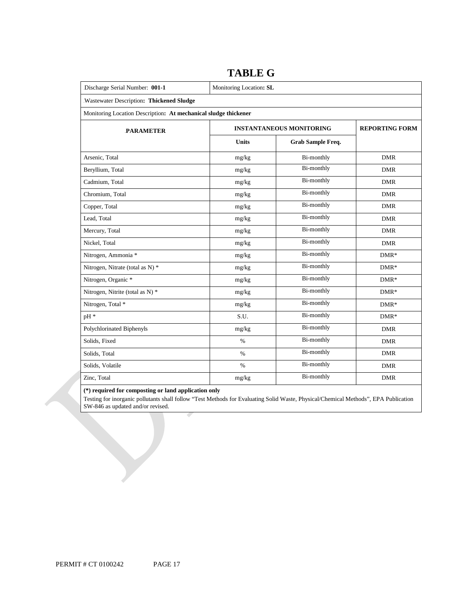| Discharge Serial Number: 001-1                                  | Monitoring Location: SL |                                 |                       |  |  |  |  |  |
|-----------------------------------------------------------------|-------------------------|---------------------------------|-----------------------|--|--|--|--|--|
| Wastewater Description: Thickened Sludge                        |                         |                                 |                       |  |  |  |  |  |
| Monitoring Location Description: At mechanical sludge thickener |                         |                                 |                       |  |  |  |  |  |
| <b>PARAMETER</b>                                                |                         | <b>INSTANTANEOUS MONITORING</b> | <b>REPORTING FORM</b> |  |  |  |  |  |
|                                                                 | <b>Units</b>            | Grab Sample Freq.               |                       |  |  |  |  |  |
| Arsenic, Total                                                  | mg/kg                   | <b>Bi-monthly</b>               | <b>DMR</b>            |  |  |  |  |  |
| Beryllium, Total                                                | mg/kg                   | <b>Bi-monthly</b>               | <b>DMR</b>            |  |  |  |  |  |
| Cadmium, Total                                                  | mg/kg                   | <b>Bi-monthly</b>               | <b>DMR</b>            |  |  |  |  |  |
| Chromium, Total                                                 | mg/kg                   | <b>Bi-monthly</b>               | <b>DMR</b>            |  |  |  |  |  |
| Copper, Total                                                   | mg/kg                   | <b>Bi-monthly</b>               | <b>DMR</b>            |  |  |  |  |  |
| Lead, Total                                                     | mg/kg                   | <b>Bi-monthly</b>               | <b>DMR</b>            |  |  |  |  |  |
| Mercury, Total                                                  | mg/kg                   | <b>Bi-monthly</b>               | <b>DMR</b>            |  |  |  |  |  |
| Nickel, Total                                                   | mg/kg                   | <b>Bi-monthly</b>               | <b>DMR</b>            |  |  |  |  |  |
| Nitrogen, Ammonia *                                             | mg/kg                   | Bi-monthly                      | $DMR*$                |  |  |  |  |  |
| Nitrogen, Nitrate (total as N) *                                | mg/kg                   | Bi-monthly                      | $DMR*$                |  |  |  |  |  |
| Nitrogen, Organic *                                             | mg/kg                   | <b>Bi-monthly</b>               | $DMR*$                |  |  |  |  |  |
| Nitrogen, Nitrite (total as N) *                                | mg/kg                   | Bi-monthly                      | $DMR*$                |  |  |  |  |  |
| Nitrogen, Total *                                               | mg/kg                   | Bi-monthly                      | $DMR*$                |  |  |  |  |  |
| pH *                                                            | S.U.                    | <b>Bi-monthly</b>               | $DMR*$                |  |  |  |  |  |
| Polychlorinated Biphenyls                                       | mg/kg                   | <b>Bi-monthly</b>               | <b>DMR</b>            |  |  |  |  |  |
| Solids, Fixed                                                   | $\%$                    | <b>Bi-monthly</b>               | <b>DMR</b>            |  |  |  |  |  |
| Solids, Total                                                   | $\%$                    | <b>Bi-monthly</b>               | <b>DMR</b>            |  |  |  |  |  |
| Solids, Volatile                                                | $\%$                    | <b>Bi-monthly</b>               | <b>DMR</b>            |  |  |  |  |  |
| Zinc, Total                                                     | mg/kg                   | <b>Bi-monthly</b>               | <b>DMR</b>            |  |  |  |  |  |

## **TABLE G**

#### **(\*) required for composting or land application only**

 Testing for inorganic pollutants shall follow "Test Methods for Evaluating Solid Waste, Physical/Chemical Methods", EPA Publication SW-846 as updated and/or revised.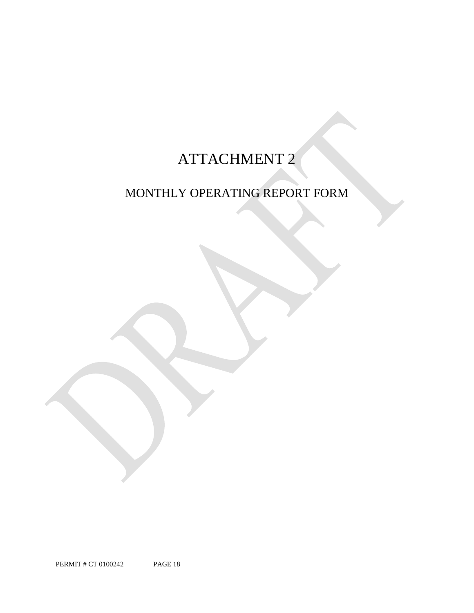# ATTACHMENT 2

# MONTHLY OPERATING REPORT FORM

PERMIT # CT 0100242 PAGE 18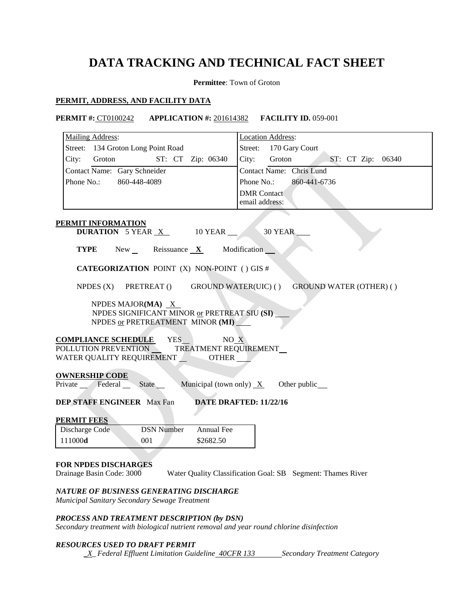# **DATA TRACKING AND TECHNICAL FACT SHEET**

**Permittee**: Town of Groton

### **PERMIT, ADDRESS, AND FACILITY DATA**

### **PERMIT #:** CT0100242 **APPLICATION #:** 201614382 **FACILITY ID.** 059-001

| Mailing Address:                                                                                                                         | <b>Location Address:</b>                                    |  |  |  |  |  |
|------------------------------------------------------------------------------------------------------------------------------------------|-------------------------------------------------------------|--|--|--|--|--|
| Street: 134 Groton Long Point Road                                                                                                       | Street:<br>170 Gary Court                                   |  |  |  |  |  |
| ST: CT Zip: 06340<br>City:<br>Groton                                                                                                     | City:<br>Groton<br>ST: CT Zip: 06340                        |  |  |  |  |  |
| Contact Name: Gary Schneider                                                                                                             | Contact Name: Chris Lund                                    |  |  |  |  |  |
| Phone No.:<br>860-448-4089                                                                                                               | Phone No.:<br>860-441-6736                                  |  |  |  |  |  |
|                                                                                                                                          | <b>DMR</b> Contact                                          |  |  |  |  |  |
|                                                                                                                                          | email address:                                              |  |  |  |  |  |
|                                                                                                                                          |                                                             |  |  |  |  |  |
| <b>PERMIT INFORMATION</b><br>DURATION 5 YEAR X<br>10 YEAR                                                                                | 30 YEAR                                                     |  |  |  |  |  |
| TYPE<br>$New_{\perp}$<br>Reissuance $X$                                                                                                  | Modification                                                |  |  |  |  |  |
| <b>CATEGORIZATION POINT (X) NON-POINT () GIS #</b>                                                                                       |                                                             |  |  |  |  |  |
| NPDES $(X)$<br>PRETREAT ()<br><b>GROUND WATER(UIC) ()</b>                                                                                | <b>GROUND WATER (OTHER) ()</b>                              |  |  |  |  |  |
| NPDES MAJOR(MA) $X$<br>NPDES SIGNIFICANT MINOR or PRETREAT SIU (SI)<br>NPDES or PRETREATMENT MINOR (MI)                                  |                                                             |  |  |  |  |  |
| <b>COMPLIANCE SCHEDULE</b><br>YES<br>NO X<br>POLLUTION PREVENTION<br>TREATMENT REQUIREMENT_<br>WATER QUALITY REQUIREMENT<br><b>OTHER</b> |                                                             |  |  |  |  |  |
| <b>OWNERSHIP CODE</b><br>Private Federal<br>State<br>Municipal (town only) $X$                                                           | Other public_                                               |  |  |  |  |  |
| <b>DEP STAFF ENGINEER</b> Max Fan                                                                                                        | DATE DRAFTED: 11/22/16                                      |  |  |  |  |  |
|                                                                                                                                          |                                                             |  |  |  |  |  |
| <b>PERMIT FEES</b><br><b>DSN Number</b><br>Annual Fee                                                                                    |                                                             |  |  |  |  |  |
| Discharge Code<br>111000d<br>\$2682.50<br>001                                                                                            |                                                             |  |  |  |  |  |
|                                                                                                                                          |                                                             |  |  |  |  |  |
|                                                                                                                                          |                                                             |  |  |  |  |  |
| <b>FOR NPDES DISCHARGES</b><br>Drainage Basin Code: 3000                                                                                 | Water Quality Classification Goal: SB Segment: Thames River |  |  |  |  |  |
|                                                                                                                                          |                                                             |  |  |  |  |  |
| NATURE OF BUSINESS GENERATING DISCHARGE<br>Municipal Sanitary Secondary Sewage Treatment                                                 |                                                             |  |  |  |  |  |
| PROCESS AND TREATMENT DESCRIPTION (by DSN)<br>Secondary treatment with biological nutrient removal and year round chlorine disinfection  |                                                             |  |  |  |  |  |

### *RESOURCES USED TO DRAFT PERMIT*

*<i>\_X\_Federal Effluent Limitation Guideline <del>40CFR 133</del> Secondary Treatment Category*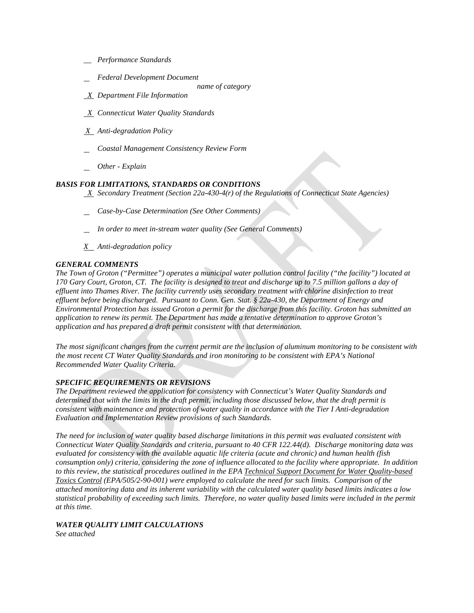- *\_\_ Performance Standards*
- *Federal Development Document*
- *name of category*
- *X Department File Information*
- *X Connecticut Water Quality Standards*
- *X Anti-degradation Policy*
- *Coastal Management Consistency Review Form*
- *Other - Explain*

### *BASIS FOR LIMITATIONS, STANDARDS OR CONDITIONS*

 *X Secondary Treatment (Section 22a-430-4(r) of the Regulations of Connecticut State Agencies)* 

- *Case-by-Case Determination (See Other Comments)*
- *In order to meet in-stream water quality (See General Comments)*
- *X Anti-degradation policy*

### *GENERAL COMMENTS*

*The Town of Groton ("Permittee") operates a municipal water pollution control facility ("the facility") located at 170 Gary Court, Groton, CT. The facility is designed to treat and discharge up to 7.5 million gallons a day of effluent into Thames River. The facility currently uses secondary treatment with chlorine disinfection to treat effluent before being discharged. Pursuant to Conn. Gen. Stat. § 22a-430, the Department of Energy and Environmental Protection has issued Groton a permit for the discharge from this facility. Groton has submitted an application to renew its permit. The Department has made a tentative determination to approve Groton's application and has prepared a draft permit consistent with that determination.* 

 *Recommended Water Quality Criteria. the most recent CT Water Quality Standards and iron monitoring to be consistent with EPA's National The most significant changes from the current permit are the inclusion of aluminum monitoring to be consistent with* 

### *SPECIFIC REQUIREMENTS OR REVISIONS*

*The Department reviewed the application for consistency with Connecticut's Water Quality Standards and determined that with the limits in the draft permit, including those discussed below, that the draft permit is consistent with maintenance and protection of water quality in accordance with the Tier I Anti-degradation Evaluation and Implementation Review provisions of such Standards.* 

 *Connecticut Water Quality Standards and criteria, pursuant to 40 CFR 122.44(d). Discharge monitoring data was consumption only) criteria, considering the zone of influence allocated to the facility where appropriate. In addition to this review, the statistical procedures outlined in the EPA Technical Support Document for Water Quality-based The need for inclusion of water quality based discharge limitations in this permit was evaluated consistent with evaluated for consistency with the available aquatic life criteria (acute and chronic) and human health (fish Toxics Control (EPA/505/2-90-001) were employed to calculate the need for such limits. Comparison of the attached monitoring data and its inherent variability with the calculated water quality based limits indicates a low statistical probability of exceeding such limits. Therefore, no water quality based limits were included in the permit at this time.* 

### *WATER QUALITY LIMIT CALCULATIONS*

*See attached*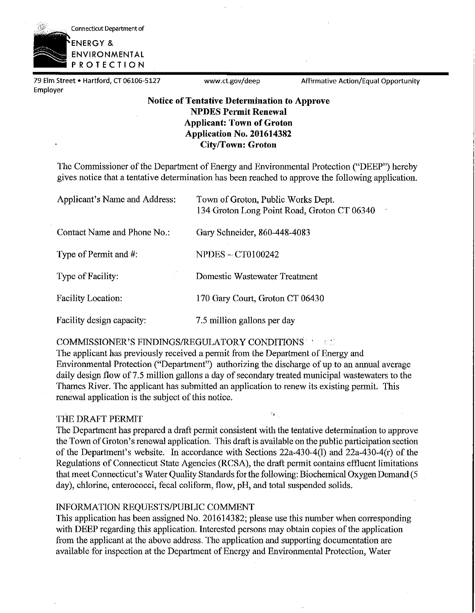Connecticut Department of

**ENERGY** & **ENVIRONMENTAL PROTECTION** 

79 Elm Street • Hartford, CT 06106-5127 www.ct.gov/deep Affirmative Action/Equal Opportunity Employer

### **Notice of Tentative Determination to Approve NPDES Permit Renewal Applicant: Town of Groton Application No. 201614382 City/Town: Groton**

The Commissioner of the Department of Energy and Environmental Protection ("DEEP") hereby gives notice that a tentative determination has been reached to approve the following application.

| Applicant's Name and Address: | Town of Groton, Public Works Dept.<br>134 Groton Long Point Road, Groton CT 06340<br>$\mathbf{1}$ |  |
|-------------------------------|---------------------------------------------------------------------------------------------------|--|
| Contact Name and Phone No.:   | Gary Schneider, 860-448-4083                                                                      |  |
| Type of Permit and #:         | <b>NPDES - CT0100242</b>                                                                          |  |
| Type of Facility:             | Domestic Wastewater Treatment                                                                     |  |
| <b>Facility Location:</b>     | 170 Gary Court, Groton CT 06430                                                                   |  |
| Facility design capacity:     | 7.5 million gallons per day                                                                       |  |

### COMMISSIONER'S FINDINGS/REGULATORY CONDITIONS

The applicant has previously received a permit from the Department of Energy and Environmental Protection ("Department") authorizing the discharge of up to an annual average daily design flow of 7.5 million gallons a day of secondary treated municipal wastewaters to the Thames River. The applicant has submitted an application to renew its existing permit. This renewal application is the subject of this notice.

### THE DRAFT PERMIT

The Department has prepared a draft permit consistent with the tentative determination to approve the Town ofGroton's renewal application. This draft is available on the public participation section of the Department's website. In accordance with Sections 22a-430-4(1) and 22a-430-4(r) of the Regulations of Connecticut State Agencies (RCSA), the draft permit contains effluent limitations that meet Connecticut's Water Quality Standards for the following: Biochemical Oxygen Demand (5 day), chlorine, enterococci, fecal coliform, flow, pH, and total suspended solids.

šy.

### INFORMATION REQUESTS/PUBLIC COMMENT

This application has been assigned No. 201614382; please use this number when corresponding with DEEP regarding this application. Interested persons may obtain copies of the application from the applicant at the above address. The application and supporting documentation are available for inspection at the Department of Energy and Environmental Protection, Water